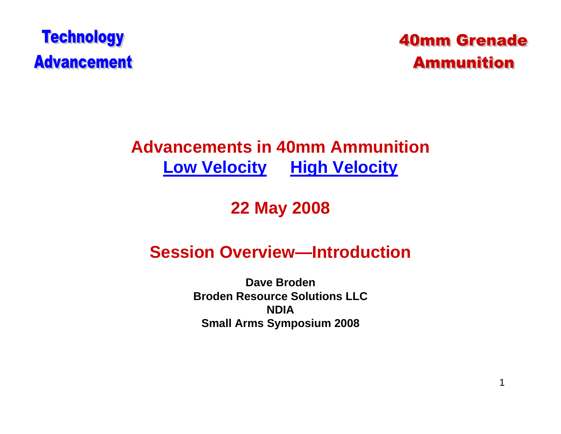

### **40mm Grenade Ammunition**

### **Advancements in 40mm AmmunitionLow Velocity High Velocity**

### **22 May 2008**

#### **Session Overview—Introduction**

**Dave BrodenBroden Resource Solutions LLCNDIASmall Arms Symposium 2008**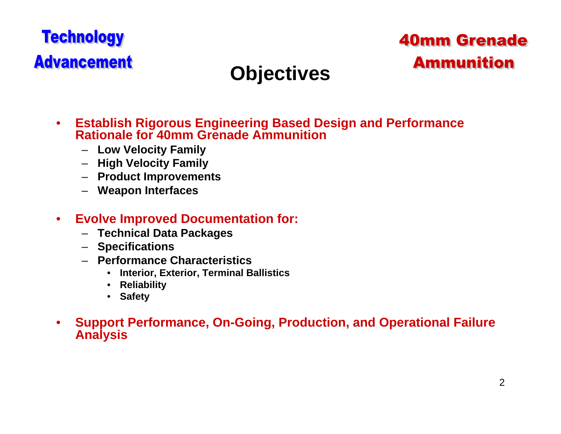### **40mm Grenade Ammunition**

# **Objectives**

- • **Establish Rigorous Engineering Based Design and Performance Rationale for 40mm Grenade Ammunition**
	- **Low Velocity Family**
	- **High Velocity Family**
	- **Product Improvements**
	- **Weapon Interfaces**
- $\bullet$  **Evolve Improved Documentation for:**
	- **Technical Data Packages**
	- **Specifications**
	- **Performance Characteristics**
		- $\bullet$ **Interior, Exterior, Terminal Ballistics**
		- **Reliability**
		- **Safety**
- • **Support Performance, On-Going, Production, and Operational Failure Analysis**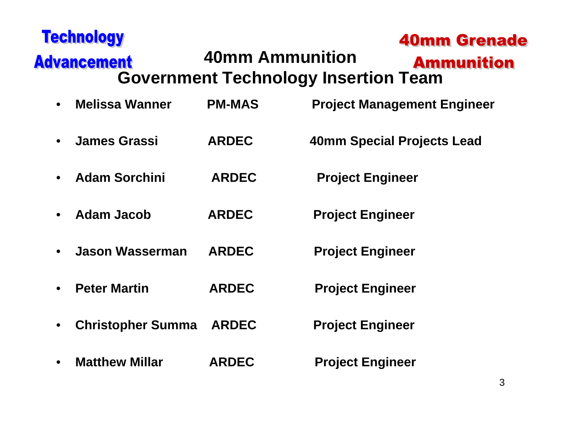| <b>Technology</b>                     |                        | <b>40mm Grenade</b>                                              |
|---------------------------------------|------------------------|------------------------------------------------------------------|
| <b>Advancement</b>                    | <b>40mm Ammunition</b> | <b>Ammunition</b><br><b>Government Technology Insertion Team</b> |
| <b>Melissa Wanner</b><br>$\bullet$    | <b>PM-MAS</b>          | <b>Project Management Engineer</b>                               |
| <b>James Grassi</b><br>$\bullet$      | <b>ARDEC</b>           | 40mm Special Projects Lead                                       |
| <b>Adam Sorchini</b><br>$\bullet$     | <b>ARDEC</b>           | <b>Project Engineer</b>                                          |
| <b>Adam Jacob</b><br>$\bullet$        | <b>ARDEC</b>           | <b>Project Engineer</b>                                          |
| <b>Jason Wasserman</b><br>$\bullet$   | <b>ARDEC</b>           | <b>Project Engineer</b>                                          |
| <b>Peter Martin</b><br>$\bullet$      | <b>ARDEC</b>           | <b>Project Engineer</b>                                          |
| <b>Christopher Summa</b><br>$\bullet$ | <b>ARDEC</b>           | <b>Project Engineer</b>                                          |
| <b>Matthew Millar</b>                 | <b>ARDEC</b>           | <b>Project Engineer</b>                                          |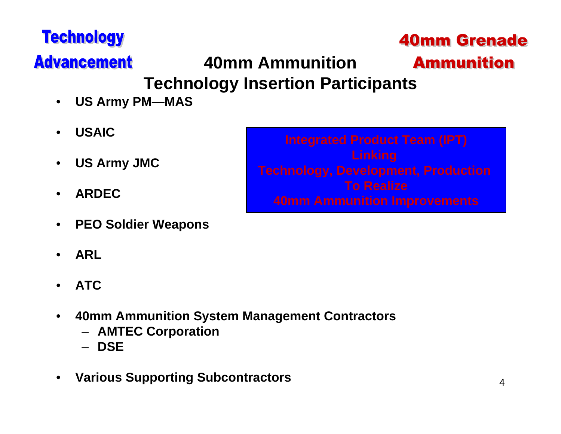### **40mm Grenade**

**Ammunition** 

# **Advancement**

**Technology** 

# **40mm Ammunition**

# **Technology Insertion Participants**

- •**US Army PM—MAS**
- •**USAIC**
- $\bullet$ **US Army JMC**
- •**ARDEC**
- •**PEO Soldier Weapons**
- •**ARL**
- •**ATC**
- $\bullet$  **40mm Ammunition System Management Contractors**
	- **AMTEC Corporation**
	- **DSE**
- •**Various Supporting Subcontractors**

**Integrated Product Team (IPT) Linking Technology, Development, Production To Realize40mm Ammunition Improvements**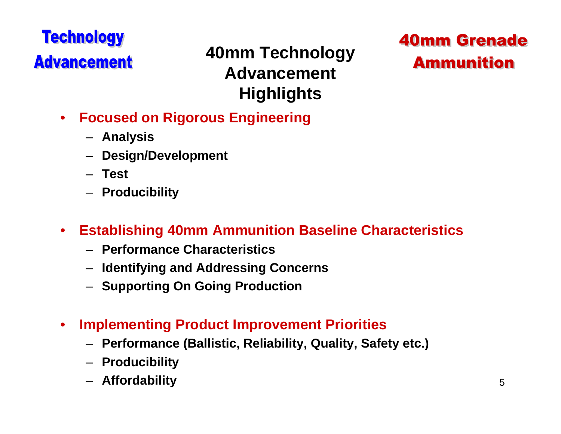### **40mm Technology Advancement Highlights**

### **40mm Grenade Ammunition**

- $\bullet$  **Focused on Rigorous Engineering** 
	- **Analysis**
	- **Design/Development**
	- **Test**
	- **Producibility**
- $\bullet$  **Establishing 40mm Ammunition Baseline Characteristics**
	- **Performance Characteristics**
	- **Identifying and Addressing Concerns**
	- **Supporting On Going Production**
- $\bullet$  **Implementing Product Improvement Priorities**
	- **Performance (Ballistic, Reliability, Quality, Safety etc.)**
	- **Producibility**
	- **Affordability**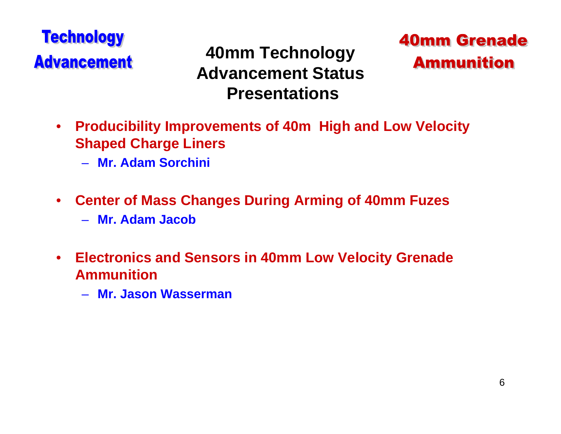**40mm Technology Advancement StatusPresentations**



- $\bullet$  **Producibility Improvements of 40m High and Low Velocity Shaped Charge Liners**
	- **Mr. Adam Sorchini**
- $\bullet$  **Center of Mass Changes During Arming of 40mm Fuzes**
	- **Mr. Adam Jacob**
- • **Electronics and Sensors in 40mm Low Velocity Grenade Ammunition**
	- **Mr. Jason Wasserman**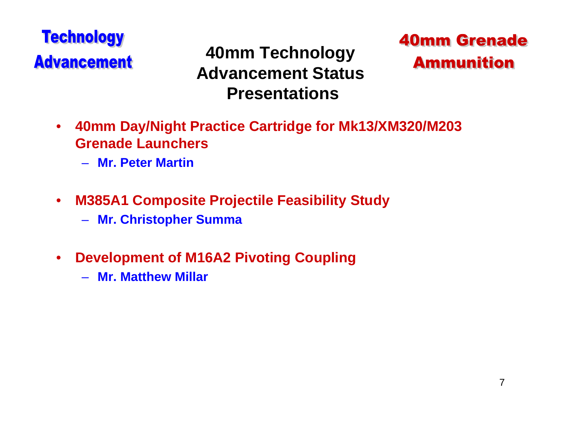**40mm Technology Advancement StatusPresentations**



- $\bullet$  **40mm Day/Night Practice Cartridge for Mk13/XM320/M203 Grenade Launchers**
	- **Mr. Peter Martin**
- • **M385A1 Composite Projectile Feasibility Study**
	- **Mr. Christopher Summa**
- $\bullet$  **Development of M16A2 Pivoting Coupling**
	- **Mr. Matthew Millar**